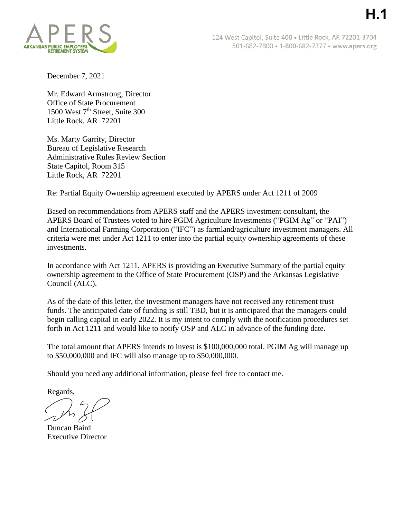**H.1**

December 7, 2021

Mr. Edward Armstrong, Director Office of State Procurement 1500 West 7<sup>th</sup> Street, Suite 300 Little Rock, AR 72201

Ms. Marty Garrity, Director Bureau of Legislative Research Administrative Rules Review Section State Capitol, Room 315 Little Rock, AR 72201

Re: Partial Equity Ownership agreement executed by APERS under Act 1211 of 2009

Based on recommendations from APERS staff and the APERS investment consultant, the APERS Board of Trustees voted to hire PGIM Agriculture Investments ("PGIM Ag" or "PAI") and International Farming Corporation ("IFC") as farmland/agriculture investment managers. All criteria were met under Act 1211 to enter into the partial equity ownership agreements of these investments.

In accordance with Act 1211, APERS is providing an Executive Summary of the partial equity ownership agreement to the Office of State Procurement (OSP) and the Arkansas Legislative Council (ALC).

As of the date of this letter, the investment managers have not received any retirement trust funds. The anticipated date of funding is still TBD, but it is anticipated that the managers could begin calling capital in early 2022. It is my intent to comply with the notification procedures set forth in Act 1211 and would like to notify OSP and ALC in advance of the funding date.

The total amount that APERS intends to invest is \$100,000,000 total. PGIM Ag will manage up to \$50,000,000 and IFC will also manage up to \$50,000,000.

Should you need any additional information, please feel free to contact me.

Regards,

Duncan Baird Executive Director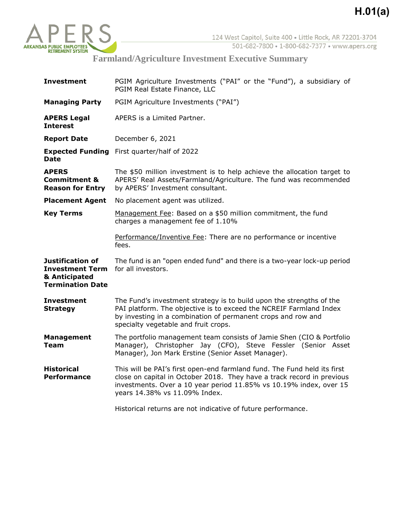

**Farmland/Agriculture Investment Executive Summary**

| <b>Investment</b>                                                                      | PGIM Agriculture Investments ("PAI" or the "Fund"), a subsidiary of<br>PGIM Real Estate Finance, LLC                                                                                                                                                      |
|----------------------------------------------------------------------------------------|-----------------------------------------------------------------------------------------------------------------------------------------------------------------------------------------------------------------------------------------------------------|
| <b>Managing Party</b>                                                                  | PGIM Agriculture Investments ("PAI")                                                                                                                                                                                                                      |
| <b>APERS Legal</b><br><b>Interest</b>                                                  | APERS is a Limited Partner.                                                                                                                                                                                                                               |
| <b>Report Date</b>                                                                     | December 6, 2021                                                                                                                                                                                                                                          |
| Date                                                                                   | <b>Expected Funding</b> First quarter/half of 2022                                                                                                                                                                                                        |
| <b>APERS</b><br><b>Commitment &amp;</b><br><b>Reason for Entry</b>                     | The \$50 million investment is to help achieve the allocation target to<br>APERS' Real Assets/Farmland/Agriculture. The fund was recommended<br>by APERS' Investment consultant.                                                                          |
| <b>Placement Agent</b>                                                                 | No placement agent was utilized.                                                                                                                                                                                                                          |
| <b>Key Terms</b>                                                                       | Management Fee: Based on a \$50 million commitment, the fund<br>charges a management fee of 1.10%                                                                                                                                                         |
|                                                                                        | Performance/Inventive Fee: There are no performance or incentive<br>fees.                                                                                                                                                                                 |
| Justification of<br><b>Investment Term</b><br>& Anticipated<br><b>Termination Date</b> | The fund is an "open ended fund" and there is a two-year lock-up period<br>for all investors.                                                                                                                                                             |
|                                                                                        |                                                                                                                                                                                                                                                           |
| <b>Investment</b><br><b>Strategy</b>                                                   | The Fund's investment strategy is to build upon the strengths of the<br>PAI platform. The objective is to exceed the NCREIF Farmland Index<br>by investing in a combination of permanent crops and row and<br>specialty vegetable and fruit crops.        |
| <b>Management</b><br>Team                                                              | The portfolio management team consists of Jamie Shen (CIO & Portfolio<br>Manager), Christopher Jay (CFO), Steve Fessler (Senior Asset<br>Manager), Jon Mark Erstine (Senior Asset Manager).                                                               |
| <b>Historical</b><br><b>Performance</b>                                                | This will be PAI's first open-end farmland fund. The Fund held its first<br>close on capital in October 2018. They have a track record in previous<br>investments. Over a 10 year period 11.85% vs 10.19% index, over 15<br>years 14.38% vs 11.09% Index. |